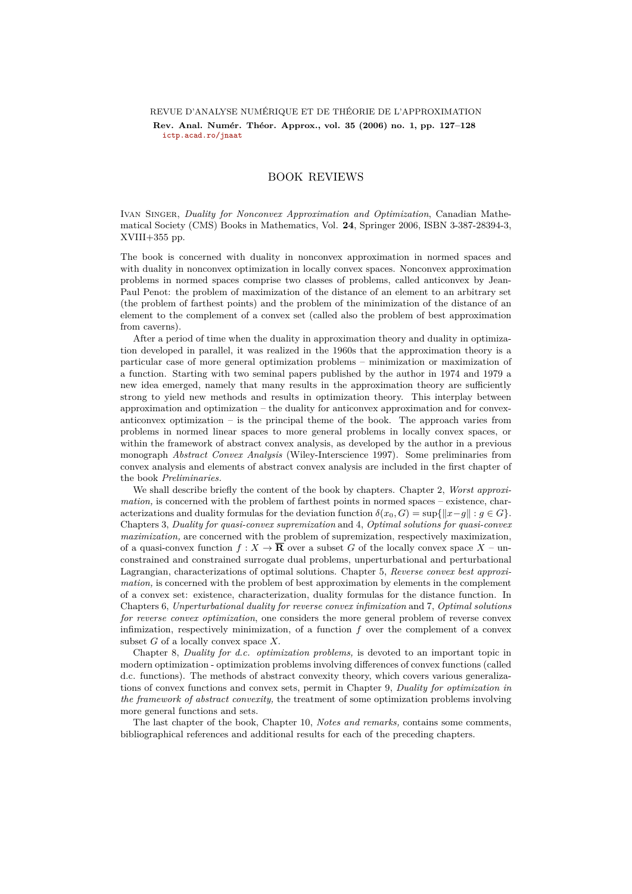## REVUE D'ANALYSE NUMÉRIQUE ET DE THÉORIE DE L'APPROXIMATION

Rev. Anal. Numér. Théor. Approx., vol. 35 (2006) no. 1, pp. 127–128 **[ictp.acad.ro/jnaat](www.ictp.acad.ro/jnaat)**

## BOOK REVIEWS

Ivan Singer, *Duality for Nonconvex Approximation and Optimization*, Canadian Mathematical Society (CMS) Books in Mathematics, Vol. **24**, Springer 2006, ISBN 3-387-28394-3, XVIII+355 pp.

The book is concerned with duality in nonconvex approximation in normed spaces and with duality in nonconvex optimization in locally convex spaces. Nonconvex approximation problems in normed spaces comprise two classes of problems, called anticonvex by Jean-Paul Penot: the problem of maximization of the distance of an element to an arbitrary set (the problem of farthest points) and the problem of the minimization of the distance of an element to the complement of a convex set (called also the problem of best approximation from caverns).

After a period of time when the duality in approximation theory and duality in optimization developed in parallel, it was realized in the 1960s that the approximation theory is a particular case of more general optimization problems – minimization or maximization of a function. Starting with two seminal papers published by the author in 1974 and 1979 a new idea emerged, namely that many results in the approximation theory are sufficiently strong to yield new methods and results in optimization theory. This interplay between approximation and optimization – the duality for anticonvex approximation and for convexanticonvex optimization – is the principal theme of the book. The approach varies from problems in normed linear spaces to more general problems in locally convex spaces, or within the framework of abstract convex analysis, as developed by the author in a previous monograph *Abstract Convex Analysis* (Wiley-Interscience 1997). Some preliminaries from convex analysis and elements of abstract convex analysis are included in the first chapter of the book *Preliminaries.*

We shall describe briefly the content of the book by chapters. Chapter 2, *Worst approximation,* is concerned with the problem of farthest points in normed spaces – existence, characterizations and duality formulas for the deviation function  $\delta(x_0, G) = \sup\{\|x - g\| : g \in G\}$ . Chapters 3, *Duality for quasi-convex supremization* and 4, *Optimal solutions for quasi-convex maximization,* are concerned with the problem of supremization, respectively maximization, of a quasi-convex function  $f: X \to \overline{\mathbf{R}}$  over a subset G of the locally convex space  $X$  – unconstrained and constrained surrogate dual problems, unperturbational and perturbational Lagrangian, characterizations of optimal solutions. Chapter 5, *Reverse convex best approximation,* is concerned with the problem of best approximation by elements in the complement of a convex set: existence, characterization, duality formulas for the distance function. In Chapters 6, *Unperturbational duality for reverse convex infimization* and 7, *Optimal solutions for reverse convex optimization*, one considers the more general problem of reverse convex infimization, respectively minimization, of a function *f* over the complement of a convex subset *G* of a locally convex space *X.*

Chapter 8, *Duality for d.c. optimization problems,* is devoted to an important topic in modern optimization - optimization problems involving differences of convex functions (called d.c. functions). The methods of abstract convexity theory, which covers various generalizations of convex functions and convex sets, permit in Chapter 9, *Duality for optimization in the framework of abstract convexity,* the treatment of some optimization problems involving more general functions and sets.

The last chapter of the book, Chapter 10, *Notes and remarks,* contains some comments, bibliographical references and additional results for each of the preceding chapters.